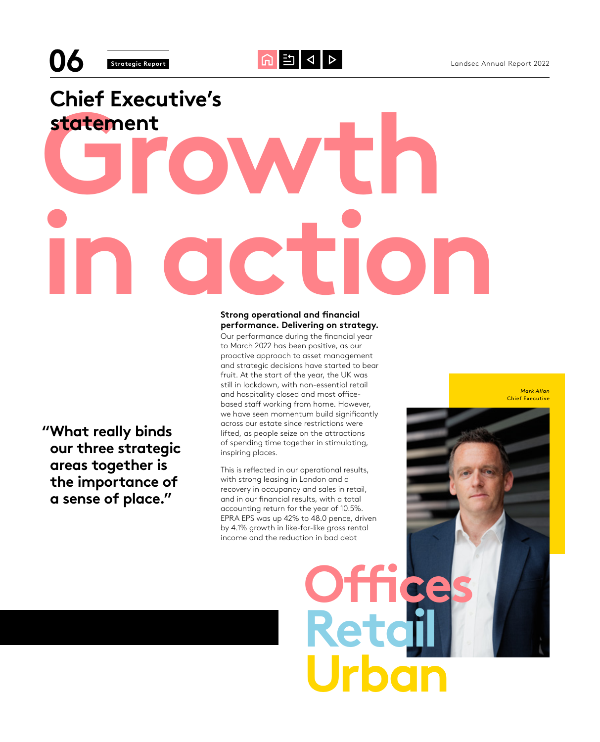# **Growth in action Chief Executive's statement**

 **"What really binds our three strategic areas together is the importance of a sense of place."**

### **Strong operational and financial performance. Delivering on strategy.**

Our performance during the financial year to March 2022 has been positive, as our proactive approach to asset management and strategic decisions have started to bear fruit. At the start of the year, the UK was still in lockdown, with non-essential retail and hospitality closed and most officebased staff working from home. However, we have seen momentum build significantly across our estate since restrictions were lifted, as people seize on the attractions of spending time together in stimulating, inspiring places.

This is reflected in our operational results, with strong leasing in London and a recovery in occupancy and sales in retail, and in our financial results, with a total accounting return for the year of 10.5%. EPRA EPS was up 42% to 48.0 pence, driven by 4.1% growth in like-for-like gross rental income and the reduction in bad debt

**Offices**

**Retail**

**Urban**

*Mark Allan* Chief Executive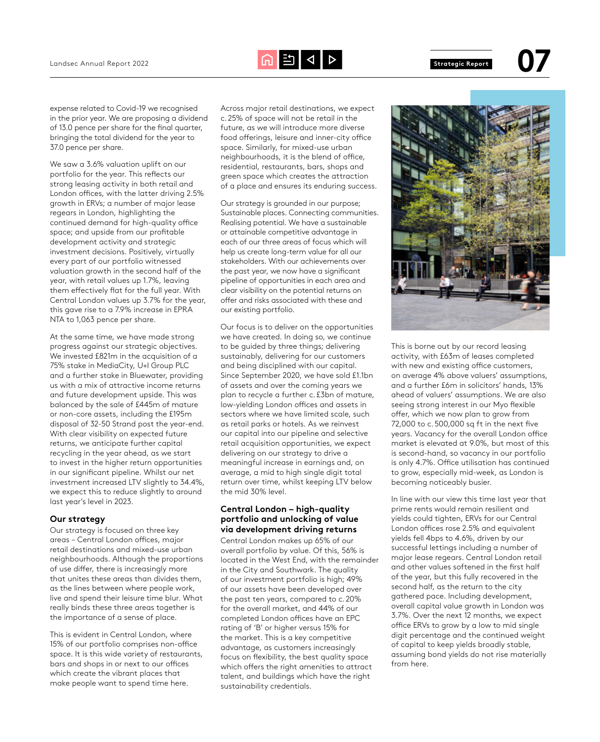

expense related to Covid-19 we recognised in the prior year. We are proposing a dividend of 13.0 pence per share for the final quarter, bringing the total dividend for the year to 37.0 pence per share.

We saw a 3.6% valuation uplift on our portfolio for the year. This reflects our strong leasing activity in both retail and London offices, with the latter driving 2.5% growth in ERVs; a number of major lease regears in London, highlighting the continued demand for high-quality office space; and upside from our profitable development activity and strategic investment decisions. Positively, virtually every part of our portfolio witnessed valuation growth in the second half of the year, with retail values up 1.7%, leaving them effectively flat for the full year. With Central London values up 3.7% for the year, this gave rise to a 7.9% increase in EPRA NTA to 1,063 pence per share.

At the same time, we have made strong progress against our strategic objectives. We invested £821m in the acquisition of a 75% stake in MediaCity, U+I Group PLC and a further stake in Bluewater, providing us with a mix of attractive income returns and future development upside. This was balanced by the sale of £445m of mature or non-core assets, including the £195m disposal of 32-50 Strand post the year-end. With clear visibility on expected future returns, we anticipate further capital recycling in the year ahead, as we start to invest in the higher return opportunities in our significant pipeline. Whilst our net investment increased LTV slightly to 34.4%, we expect this to reduce slightly to around last year's level in 2023.

#### **Our strategy**

Our strategy is focused on three key areas – Central London offices, major retail destinations and mixed-use urban neighbourhoods. Although the proportions of use differ, there is increasingly more that unites these areas than divides them, as the lines between where people work, live and spend their leisure time blur. What really binds these three areas together is the importance of a sense of place.

This is evident in Central London, where 15% of our portfolio comprises non-office space. It is this wide variety of restaurants, bars and shops in or next to our offices which create the vibrant places that make people want to spend time here.

Across major retail destinations, we expect c.25% of space will not be retail in the future, as we will introduce more diverse food offerings, leisure and inner-city office space. Similarly, for mixed-use urban neighbourhoods, it is the blend of office, residential, restaurants, bars, shops and green space which creates the attraction of a place and ensures its enduring success.

Our strategy is grounded in our purpose; Sustainable places. Connecting communities. Realising potential. We have a sustainable or attainable competitive advantage in each of our three areas of focus which will help us create long-term value for all our stakeholders. With our achievements over the past year, we now have a significant pipeline of opportunities in each area and clear visibility on the potential returns on offer and risks associated with these and our existing portfolio.

Our focus is to deliver on the opportunities we have created. In doing so, we continue to be guided by three things; delivering sustainably, delivering for our customers and being disciplined with our capital. Since September 2020, we have sold £1.1bn of assets and over the coming years we plan to recycle a further c.£3bn of mature, low-yielding London offices and assets in sectors where we have limited scale, such as retail parks or hotels. As we reinvest our capital into our pipeline and selective retail acquisition opportunities, we expect delivering on our strategy to drive a meaningful increase in earnings and, on average, a mid to high single digit total return over time, whilst keeping LTV below the mid 30% level.

#### **Central London – high-quality portfolio and unlocking of value via development driving returns**

Central London makes up 65% of our overall portfolio by value. Of this, 56% is located in the West End, with the remainder in the City and Southwark. The quality of our investment portfolio is high; 49% of our assets have been developed over the past ten years, compared to c.20% for the overall market, and 44% of our completed London offices have an EPC rating of 'B' or higher versus 15% for the market. This is a key competitive advantage, as customers increasingly focus on flexibility, the best quality space which offers the right amenities to attract talent, and buildings which have the right sustainability credentials.



This is borne out by our record leasing activity, with £63m of leases completed with new and existing office customers, on average 4% above valuers' assumptions, and a further £6m in solicitors' hands, 13% ahead of valuers' assumptions. We are also seeing strong interest in our Myo flexible offer, which we now plan to grow from 72,000 to c.500,000 sq ft in the next five years. Vacancy for the overall London office market is elevated at 9.0%, but most of this is second-hand, so vacancy in our portfolio is only 4.7%. Office utilisation has continued to grow, especially mid-week, as London is becoming noticeably busier.

In line with our view this time last year that prime rents would remain resilient and yields could tighten, ERVs for our Central London offices rose 2.5% and equivalent yields fell 4bps to 4.6%, driven by our successful lettings including a number of major lease regears. Central London retail and other values softened in the first half of the year, but this fully recovered in the second half, as the return to the city gathered pace. Including development, overall capital value growth in London was 3.7%. Over the next 12 months, we expect office ERVs to grow by a low to mid single digit percentage and the continued weight of capital to keep yields broadly stable, assuming bond yields do not rise materially from here.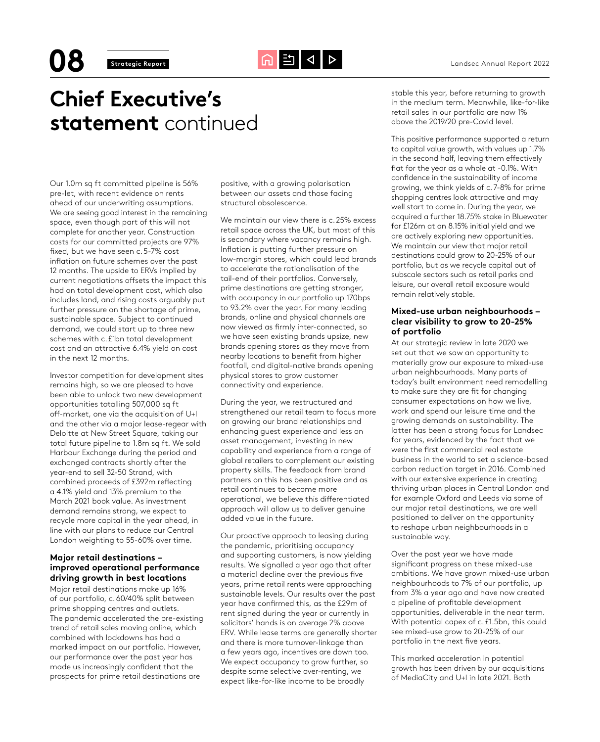## **Chief Executive's statement** continued

stable this year, before returning to growth in the medium term. Meanwhile, like-for-like retail sales in our portfolio are now 1% above the 2019/20 pre-Covid level.

Our 1.0m sq ft committed pipeline is 56% pre-let, with recent evidence on rents ahead of our underwriting assumptions. We are seeing good interest in the remaining space, even though part of this will not complete for another year. Construction costs for our committed projects are 97% fixed, but we have seen c.5-7% cost inflation on future schemes over the past 12 months. The upside to ERVs implied by current negotiations offsets the impact this had on total development cost, which also includes land, and rising costs arguably put further pressure on the shortage of prime, sustainable space. Subject to continued demand, we could start up to three new schemes with c.£1bn total development cost and an attractive 6.4% yield on cost in the next 12 months.

Investor competition for development sites remains high, so we are pleased to have been able to unlock two new development opportunities totalling 507,000 sq ft off-market, one via the acquisition of U+I and the other via a major lease-regear with Deloitte at New Street Square, taking our total future pipeline to 1.8m sq ft. We sold Harbour Exchange during the period and exchanged contracts shortly after the year-end to sell 32-50 Strand, with combined proceeds of £392m reflecting a 4.1% yield and 13% premium to the March 2021 book value. As investment demand remains strong, we expect to recycle more capital in the year ahead, in line with our plans to reduce our Central London weighting to 55-60% over time.

#### **Major retail destinations – improved operational performance driving growth in best locations**

Major retail destinations make up 16% of our portfolio, c.60/40% split between prime shopping centres and outlets. The pandemic accelerated the pre-existing trend of retail sales moving online, which combined with lockdowns has had a marked impact on our portfolio. However, our performance over the past year has made us increasingly confident that the prospects for prime retail destinations are

positive, with a growing polarisation between our assets and those facing structural obsolescence.

We maintain our view there is c.25% excess retail space across the UK, but most of this is secondary where vacancy remains high. Inflation is putting further pressure on low-margin stores, which could lead brands to accelerate the rationalisation of the tail-end of their portfolios. Conversely, prime destinations are getting stronger, with occupancy in our portfolio up 170bps to 93.2% over the year. For many leading brands, online and physical channels are now viewed as firmly inter-connected, so we have seen existing brands upsize, new brands opening stores as they move from nearby locations to benefit from higher footfall, and digital-native brands opening physical stores to grow customer connectivity and experience.

During the year, we restructured and strengthened our retail team to focus more on growing our brand relationships and enhancing guest experience and less on asset management, investing in new capability and experience from a range of global retailers to complement our existing property skills. The feedback from brand partners on this has been positive and as retail continues to become more operational, we believe this differentiated approach will allow us to deliver genuine added value in the future.

Our proactive approach to leasing during the pandemic, prioritising occupancy and supporting customers, is now yielding results. We signalled a year ago that after a material decline over the previous five years, prime retail rents were approaching sustainable levels. Our results over the past year have confirmed this, as the £29m of rent signed during the year or currently in solicitors' hands is on average 2% above ERV. While lease terms are generally shorter and there is more turnover-linkage than a few years ago, incentives are down too. We expect occupancy to grow further, so despite some selective over-renting, we expect like-for-like income to be broadly

This positive performance supported a return to capital value growth, with values up 1.7% in the second half, leaving them effectively flat for the year as a whole at -0.1%. With confidence in the sustainability of income growing, we think yields of c.7-8% for prime shopping centres look attractive and may well start to come in. During the year, we acquired a further 18.75% stake in Bluewater for £126m at an 8.15% initial yield and we are actively exploring new opportunities. We maintain our view that major retail destinations could grow to 20-25% of our portfolio, but as we recycle capital out of subscale sectors such as retail parks and leisure, our overall retail exposure would remain relatively stable.

#### **Mixed-use urban neighbourhoods – clear visibility to grow to 20-25% of portfolio**

At our strategic review in late 2020 we set out that we saw an opportunity to materially grow our exposure to mixed-use urban neighbourhoods. Many parts of today's built environment need remodelling to make sure they are fit for changing consumer expectations on how we live, work and spend our leisure time and the growing demands on sustainability. The latter has been a strong focus for Landsec for years, evidenced by the fact that we were the first commercial real estate business in the world to set a science-based carbon reduction target in 2016. Combined with our extensive experience in creating thriving urban places in Central London and for example Oxford and Leeds via some of our major retail destinations, we are well positioned to deliver on the opportunity to reshape urban neighbourhoods in a sustainable way.

Over the past year we have made significant progress on these mixed-use ambitions. We have grown mixed-use urban neighbourhoods to 7% of our portfolio, up from 3% a year ago and have now created a pipeline of profitable development opportunities, deliverable in the near term. With potential capex of c.£1.5bn, this could see mixed-use grow to 20-25% of our portfolio in the next five years.

This marked acceleration in potential growth has been driven by our acquisitions of MediaCity and U+I in late 2021. Both